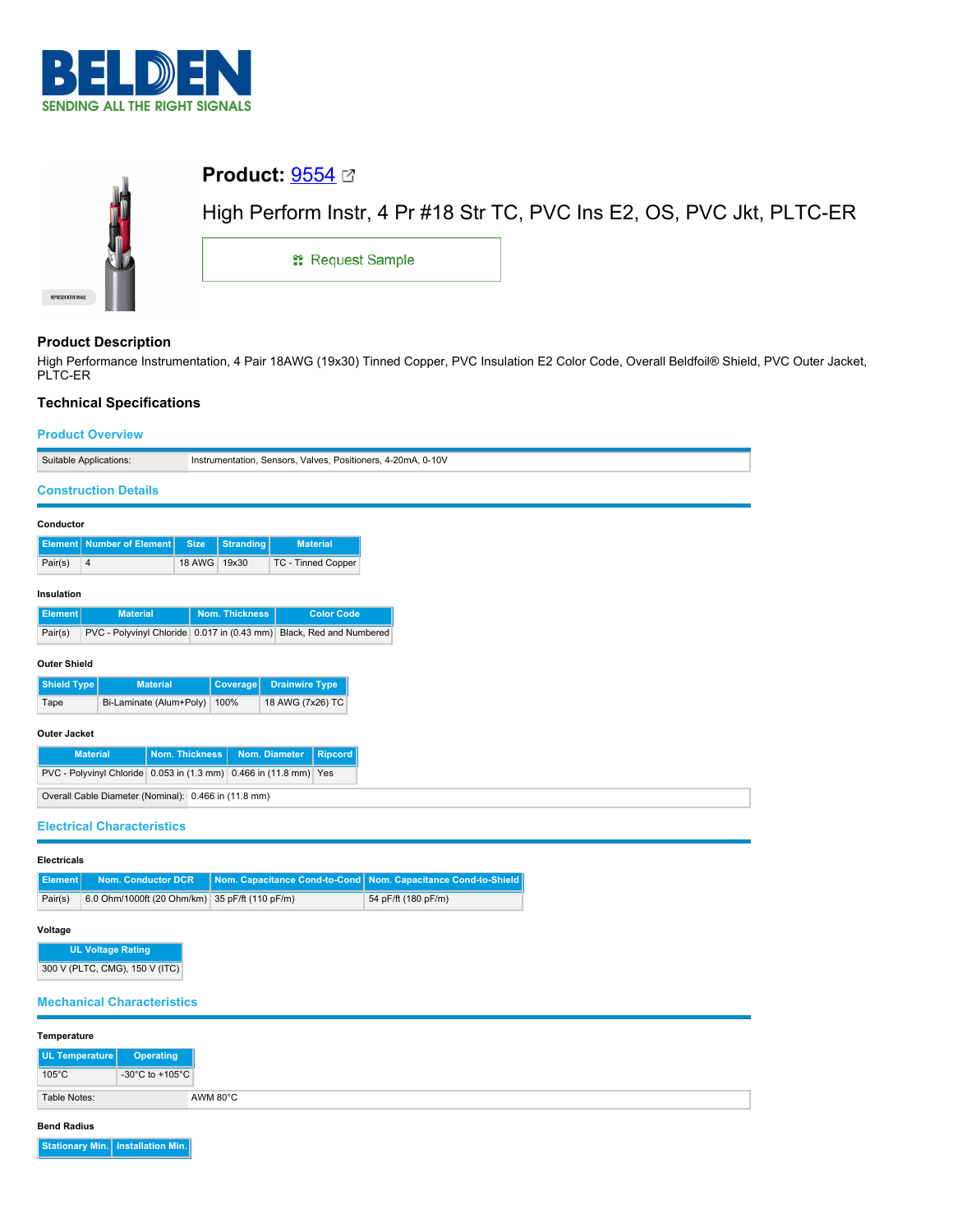



High Performance Instrumentation, 4 Pair 18AWG (19x30) Tinned Copper, PVC Insulation E2 Color Code, Overall Beldfoil® Shield, PVC Outer Jacket, PLTC-ER

# **Technical Specifications**

## **Product Overview**

| Suitable Applications:<br>Instrumentation, Sensors, Valves, Positioners, 4-20mA, 0-10V                          |  |  |  |  |
|-----------------------------------------------------------------------------------------------------------------|--|--|--|--|
|                                                                                                                 |  |  |  |  |
| <b>Construction Details</b>                                                                                     |  |  |  |  |
| Conductor                                                                                                       |  |  |  |  |
| <b>Number of Element</b><br><b>Size</b><br><b>Stranding</b><br><b>Material</b><br><b>Element</b>                |  |  |  |  |
| Pair(s)<br>18 AWG<br>19x30<br>TC - Tinned Copper<br>$\overline{4}$                                              |  |  |  |  |
| Insulation                                                                                                      |  |  |  |  |
| <b>Nom. Thickness</b><br><b>Color Code</b><br><b>Element</b><br><b>Material</b>                                 |  |  |  |  |
| PVC - Polyvinyl Chloride 0.017 in (0.43 mm) Black, Red and Numbered<br>Pair(s)                                  |  |  |  |  |
|                                                                                                                 |  |  |  |  |
| <b>Outer Shield</b>                                                                                             |  |  |  |  |
| <b>Shield Type</b><br><b>Material</b><br>Coverage<br><b>Drainwire Type</b>                                      |  |  |  |  |
| Bi-Laminate (Alum+Poly) 100%<br>18 AWG (7x26) TC<br>Tape                                                        |  |  |  |  |
| <b>Outer Jacket</b>                                                                                             |  |  |  |  |
| <b>Material</b><br><b>Nom. Thickness</b><br>Nom. Diameter<br><b>Ripcord</b>                                     |  |  |  |  |
| PVC - Polyvinyl Chloride 0.053 in (1.3 mm) 0.466 in (11.8 mm) Yes                                               |  |  |  |  |
| Overall Cable Diameter (Nominal): 0.466 in (11.8 mm)                                                            |  |  |  |  |
| <b>Electrical Characteristics</b>                                                                               |  |  |  |  |
|                                                                                                                 |  |  |  |  |
| <b>Electricals</b>                                                                                              |  |  |  |  |
| <b>Nom. Conductor DCR</b><br>Nom. Capacitance Cond-to-Cond<br>Nom. Capacitance Cond-to-Shield<br><b>Element</b> |  |  |  |  |
| 6.0 Ohm/1000ft (20 Ohm/km) 35 pF/ft (110 pF/m)<br>54 pF/ft (180 pF/m)<br>Pair(s)                                |  |  |  |  |
| Voltage                                                                                                         |  |  |  |  |
| <b>UL Voltage Rating</b>                                                                                        |  |  |  |  |
| 300 V (PLTC, CMG), 150 V (ITC)                                                                                  |  |  |  |  |
|                                                                                                                 |  |  |  |  |
| <b>Mechanical Characteristics</b>                                                                               |  |  |  |  |
|                                                                                                                 |  |  |  |  |

| Temperature                |                                       |
|----------------------------|---------------------------------------|
| UL Temperature   Operating |                                       |
| $105^{\circ}$ C            | -30 $^{\circ}$ C to +105 $^{\circ}$ C |
| Table Notes:               | AWM 80°C                              |

## **Bend Radius**

**Stationary Min. Installation Min.**